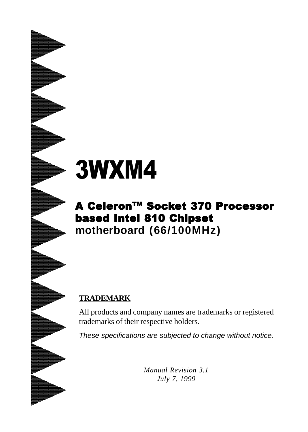# 3WXM4

# A Celeron™ Socket 370 Processor based Intel 810 Chipset **motherboard (66/100MHz)**

### **TRADEMARK**

All products and company names are trademarks or registered trademarks of their respective holders.

*These specifications are subjected to change without notice.*

*Manual Revision 3.1 July 7, 1999*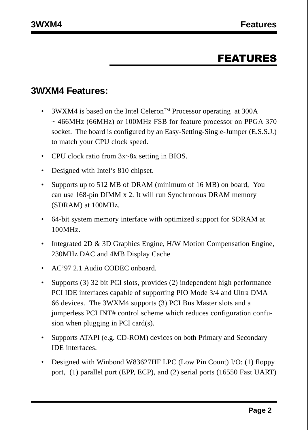## FEATURES

#### **3WXM4 Features:**

- 3WXM4 is based on the Intel Celeron<sup>TM</sup> Processor operating at 300A ~ 466MHz (66MHz) or 100MHz FSB for feature processor on PPGA 370 socket. The board is configured by an Easy-Setting-Single-Jumper (E.S.S.J.) to match your CPU clock speed.
- CPU clock ratio from  $3x$ ~8x setting in BIOS.
- Designed with Intel's 810 chipset.
- Supports up to 512 MB of DRAM (minimum of 16 MB) on board, You can use 168-pin DIMM x 2. It will run Synchronous DRAM memory (SDRAM) at 100MHz.
- 64-bit system memory interface with optimized support for SDRAM at 100MHz.
- Integrated 2D & 3D Graphics Engine, H/W Motion Compensation Engine, 230MHz DAC and 4MB Display Cache
- AC'97 2.1 Audio CODEC onboard.
- Supports (3) 32 bit PCI slots, provides (2) independent high performance PCI IDE interfaces capable of supporting PIO Mode 3/4 and Ultra DMA 66 devices. The 3WXM4 supports (3) PCI Bus Master slots and a jumperless PCI INT# control scheme which reduces configuration confusion when plugging in PCI card(s).
- Supports ATAPI (e.g. CD-ROM) devices on both Primary and Secondary IDE interfaces.
- Designed with Winbond W83627HF LPC (Low Pin Count) I/O: (1) floppy port, (1) parallel port (EPP, ECP), and (2) serial ports (16550 Fast UART)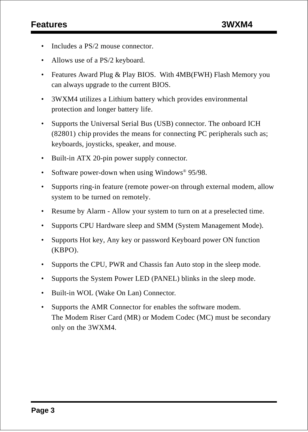- Includes a PS/2 mouse connector.
- Allows use of a PS/2 keyboard.
- Features Award Plug & Play BIOS. With 4MB(FWH) Flash Memory you can always upgrade to the current BIOS.
- 3WXM4 utilizes a Lithium battery which provides environmental protection and longer battery life.
- Supports the Universal Serial Bus (USB) connector. The onboard ICH (82801) chip provides the means for connecting PC peripherals such as; keyboards, joysticks, speaker, and mouse.
- Built-in ATX 20-pin power supply connector.
- Software power-down when using Windows® 95/98.
- Supports ring-in feature (remote power-on through external modem, allow system to be turned on remotely.
- Resume by Alarm Allow your system to turn on at a preselected time.
- Supports CPU Hardware sleep and SMM (System Management Mode).
- Supports Hot key, Any key or password Keyboard power ON function (KBPO).
- Supports the CPU, PWR and Chassis fan Auto stop in the sleep mode.
- Supports the System Power LED (PANEL) blinks in the sleep mode.
- Built-in WOL (Wake On Lan) Connector.
- Supports the AMR Connector for enables the software modem. The Modem Riser Card (MR) or Modem Codec (MC) must be secondary only on the 3WXM4.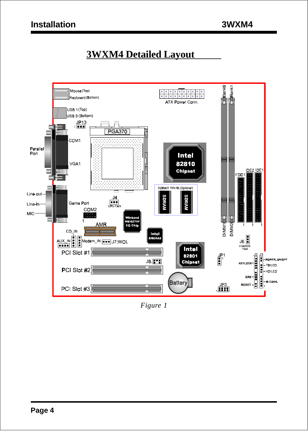# **3WXM4 Detailed Layout**



*Figure 1*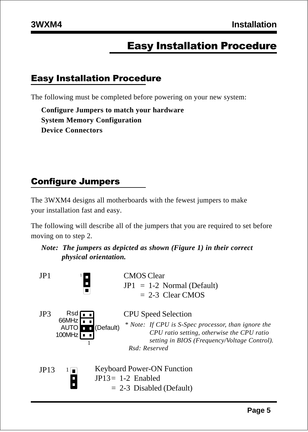# Easy Installation Procedure

#### Easy Installation Procedure

The following must be completed before powering on your new system:

**Configure Jumpers to match your hardware System Memory Configuration Device Connectors**

## Configure Jumpers

The 3WXM4 designs all motherboards with the fewest jumpers to make your installation fast and easy.

The following will describe all of the jumpers that you are required to set before moving on to step 2.

#### *Note: The jumpers as depicted as shown (Figure 1) in their correct physical orientation.*

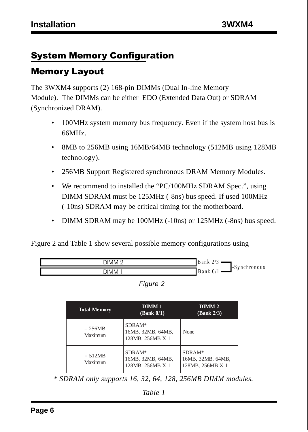## System Memory Configuration

### Memory Layout

The 3WXM4 supports (2) 168-pin DIMMs (Dual In-line Memory Module). The DIMMs can be either EDO (Extended Data Out) or SDRAM (Synchronized DRAM).

- 100MHz system memory bus frequency. Even if the system host bus is 66MHz.
- 8MB to 256MB using 16MB/64MB technology (512MB using 128MB) technology).
- 256MB Support Registered synchronous DRAM Memory Modules.
- We recommend to installed the "PC/100MHz SDRAM Spec.", using DIMM SDRAM must be 125MHz (-8ns) bus speed. If used 100MHz (-10ns) SDRAM may be critical timing for the motherboard.
- DIMM SDRAM may be 100MHz (-10ns) or 125MHz (-8ns) bus speed.

Figure 2 and Table 1 show several possible memory configurations using



| ıaur |  |
|------|--|
|------|--|

| <b>Total Memory</b>  | DIMM <sub>1</sub><br>(Bank 0/1)                 | DIMM <sub>2</sub><br>(Bank 2/3)                 |
|----------------------|-------------------------------------------------|-------------------------------------------------|
| $= 256MB$<br>Maximum | SDRAM*<br>16MB, 32MB, 64MB,<br>128MB, 256MB X 1 | None.                                           |
| $= 512MB$<br>Maximum | SDRAM*<br>16MB, 32MB, 64MB,<br>128MB, 256MB X 1 | SDRAM*<br>16MB, 32MB, 64MB,<br>128MB, 256MB X 1 |

 *\* SDRAM only supports 16, 32, 64, 128, 256MB DIMM modules.*

*Table 1*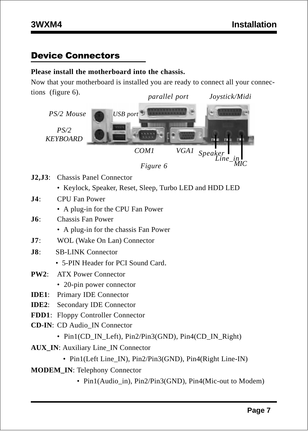#### Device Connectors

#### **Please install the motherboard into the chassis.**

Now that your motherboard is installed you are ready to connect all your connections (figure 6). *parallel port Joystick/Midi*





- **J2,J3**: Chassis Panel Connector
	- Keylock, Speaker, Reset, Sleep, Turbo LED and HDD LED
- **J4**: CPU Fan Power
	- A plug-in for the CPU Fan Power
- **J6**: Chassis Fan Power
	- A plug-in for the chassis Fan Power
- **J7**: WOL (Wake On Lan) Connector
- **J8**: SB-LINK Connector
	- 5-PIN Header for PCI Sound Card.
- **PW2**: ATX Power Connector
	- 20-pin power connector
- **IDE1**: Primary IDE Connector
- **IDE2**: Secondary IDE Connector
- **FDD1**: Floppy Controller Connector
- **CD-IN**: CD Audio\_IN Connector
	- Pin1(CD\_IN\_Left), Pin2/Pin3(GND), Pin4(CD\_IN\_Right)
- **AUX\_IN**: Auxiliary Line\_IN Connector
	- Pin1(Left Line IN), Pin2/Pin3(GND), Pin4(Right Line-IN)
- **MODEM\_IN**: Telephony Connector
	- Pin1(Audio in), Pin2/Pin3(GND), Pin4(Mic-out to Modem)